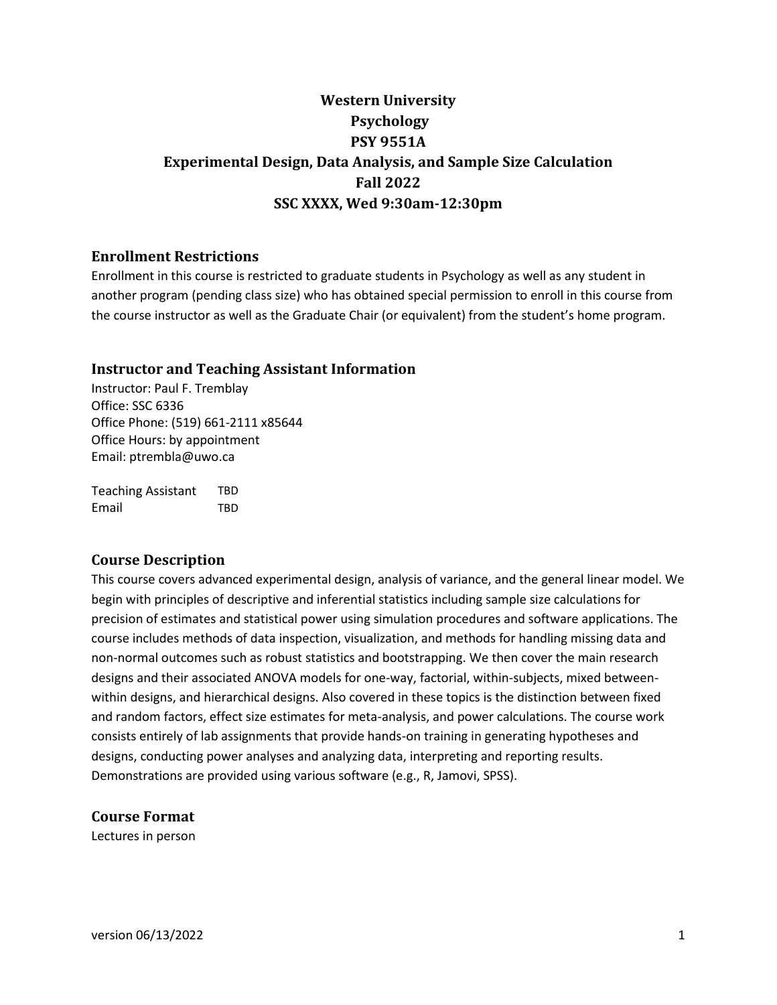# **Western University Psychology PSY 9551A Experimental Design, Data Analysis, and Sample Size Calculation Fall 2022 SSC XXXX, Wed 9:30am-12:30pm**

# **Enrollment Restrictions**

Enrollment in this course is restricted to graduate students in Psychology as well as any student in another program (pending class size) who has obtained special permission to enroll in this course from the course instructor as well as the Graduate Chair (or equivalent) from the student's home program.

# **Instructor and Teaching Assistant Information**

Instructor: Paul F. Tremblay Office: SSC 6336 Office Phone: (519) 661-2111 x85644 Office Hours: by appointment Email: ptrembla@uwo.ca

Teaching Assistant TBD Email TBD

# **Course Description**

This course covers advanced experimental design, analysis of variance, and the general linear model. We begin with principles of descriptive and inferential statistics including sample size calculations for precision of estimates and statistical power using simulation procedures and software applications. The course includes methods of data inspection, visualization, and methods for handling missing data and non-normal outcomes such as robust statistics and bootstrapping. We then cover the main research designs and their associated ANOVA models for one-way, factorial, within-subjects, mixed betweenwithin designs, and hierarchical designs. Also covered in these topics is the distinction between fixed and random factors, effect size estimates for meta-analysis, and power calculations. The course work consists entirely of lab assignments that provide hands-on training in generating hypotheses and designs, conducting power analyses and analyzing data, interpreting and reporting results. Demonstrations are provided using various software (e.g., R, Jamovi, SPSS).

**Course Format**

Lectures in person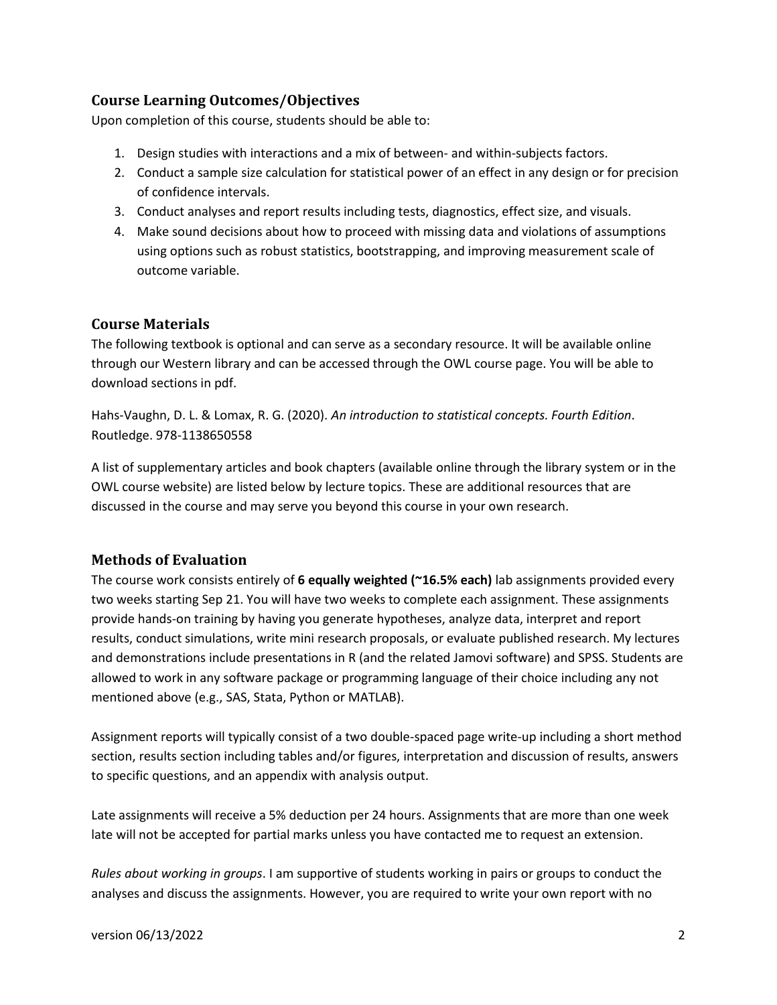# **Course Learning Outcomes/Objectives**

Upon completion of this course, students should be able to:

- 1. Design studies with interactions and a mix of between- and within-subjects factors.
- 2. Conduct a sample size calculation for statistical power of an effect in any design or for precision of confidence intervals.
- 3. Conduct analyses and report results including tests, diagnostics, effect size, and visuals.
- 4. Make sound decisions about how to proceed with missing data and violations of assumptions using options such as robust statistics, bootstrapping, and improving measurement scale of outcome variable.

# **Course Materials**

The following textbook is optional and can serve as a secondary resource. It will be available online through our Western library and can be accessed through the OWL course page. You will be able to download sections in pdf.

Hahs-Vaughn, D. L. & Lomax, R. G. (2020). *An introduction to statistical concepts. Fourth Edition*. Routledge. 978-1138650558

A list of supplementary articles and book chapters (available online through the library system or in the OWL course website) are listed below by lecture topics. These are additional resources that are discussed in the course and may serve you beyond this course in your own research.

# **Methods of Evaluation**

The course work consists entirely of **6 equally weighted (~16.5% each)** lab assignments provided every two weeks starting Sep 21. You will have two weeks to complete each assignment. These assignments provide hands-on training by having you generate hypotheses, analyze data, interpret and report results, conduct simulations, write mini research proposals, or evaluate published research. My lectures and demonstrations include presentations in R (and the related Jamovi software) and SPSS. Students are allowed to work in any software package or programming language of their choice including any not mentioned above (e.g., SAS, Stata, Python or MATLAB).

Assignment reports will typically consist of a two double-spaced page write-up including a short method section, results section including tables and/or figures, interpretation and discussion of results, answers to specific questions, and an appendix with analysis output.

Late assignments will receive a 5% deduction per 24 hours. Assignments that are more than one week late will not be accepted for partial marks unless you have contacted me to request an extension.

*Rules about working in groups*. I am supportive of students working in pairs or groups to conduct the analyses and discuss the assignments. However, you are required to write your own report with no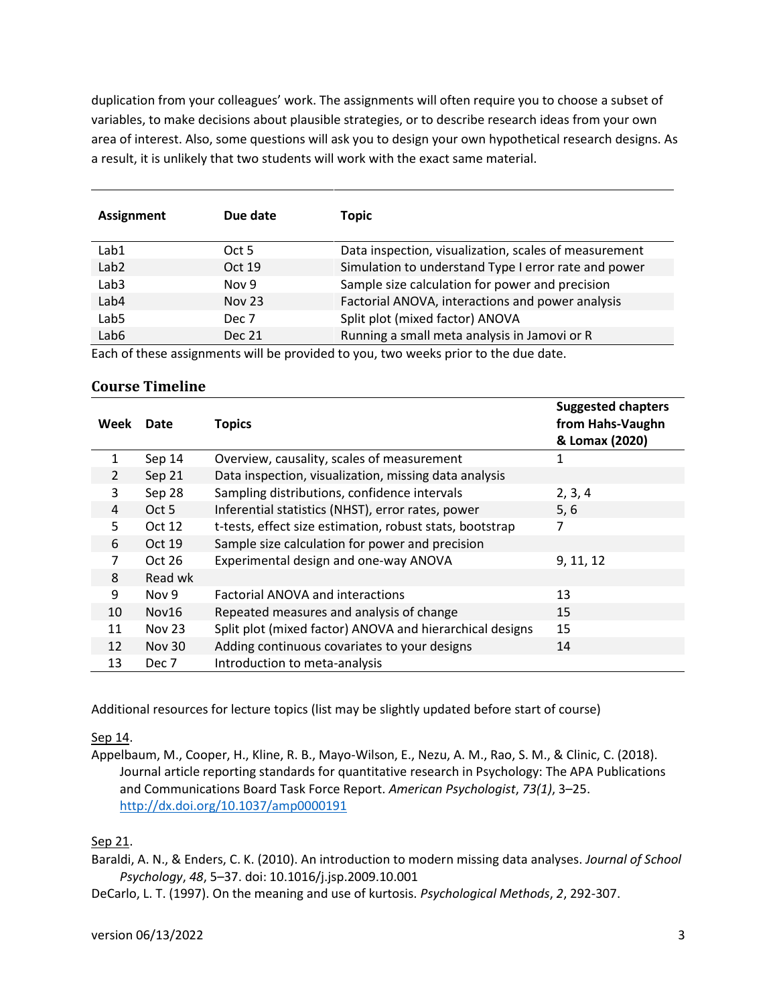duplication from your colleagues' work. The assignments will often require you to choose a subset of variables, to make decisions about plausible strategies, or to describe research ideas from your own area of interest. Also, some questions will ask you to design your own hypothetical research designs. As a result, it is unlikely that two students will work with the exact same material.

| <b>Assignment</b> | Due date      | <b>Topic</b>                                          |
|-------------------|---------------|-------------------------------------------------------|
| Lab1              | Oct 5         | Data inspection, visualization, scales of measurement |
| Lab <sub>2</sub>  | Oct 19        | Simulation to understand Type I error rate and power  |
| Lab3              | Nov 9         | Sample size calculation for power and precision       |
| Lab4              | <b>Nov 23</b> | Factorial ANOVA, interactions and power analysis      |
| Lab5              | Dec 7         | Split plot (mixed factor) ANOVA                       |
| Lab6              | <b>Dec 21</b> | Running a small meta analysis in Jamovi or R          |

Each of these assignments will be provided to you, two weeks prior to the due date.

#### **Course Timeline**

| Week          | Date          | <b>Topics</b>                                            | <b>Suggested chapters</b><br>from Hahs-Vaughn<br>& Lomax (2020) |
|---------------|---------------|----------------------------------------------------------|-----------------------------------------------------------------|
| 1             | Sep 14        | Overview, causality, scales of measurement               | 1                                                               |
| $\mathcal{L}$ | Sep 21        | Data inspection, visualization, missing data analysis    |                                                                 |
| 3             | Sep 28        | Sampling distributions, confidence intervals             | 2, 3, 4                                                         |
| 4             | Oct 5         | Inferential statistics (NHST), error rates, power        | 5, 6                                                            |
| 5             | Oct 12        | t-tests, effect size estimation, robust stats, bootstrap | 7                                                               |
| 6             | Oct 19        | Sample size calculation for power and precision          |                                                                 |
| 7             | Oct 26        | Experimental design and one-way ANOVA                    | 9, 11, 12                                                       |
| 8             | Read wk       |                                                          |                                                                 |
| 9             | Nov 9         | <b>Factorial ANOVA and interactions</b>                  | 13                                                              |
| 10            | Nov16         | Repeated measures and analysis of change                 | 15                                                              |
| 11            | Nov 23        | Split plot (mixed factor) ANOVA and hierarchical designs | 15                                                              |
| 12            | <b>Nov 30</b> | Adding continuous covariates to your designs             | 14                                                              |
| 13            | Dec 7         | Introduction to meta-analysis                            |                                                                 |

Additional resources for lecture topics (list may be slightly updated before start of course)

Sep 14.

Appelbaum, M., Cooper, H., Kline, R. B., Mayo-Wilson, E., Nezu, A. M., Rao, S. M., & Clinic, C. (2018). Journal article reporting standards for quantitative research in Psychology: The APA Publications and Communications Board Task Force Report. *American Psychologist*, *73(1)*, 3–25. <http://dx.doi.org/10.1037/amp0000191>

# Sep 21.

Baraldi, A. N., & Enders, C. K. (2010). An introduction to modern missing data analyses. *Journal of School Psychology*, *48*, 5–37. doi: 10.1016/j.jsp.2009.10.001

DeCarlo, L. T. (1997). On the meaning and use of kurtosis. *Psychological Methods*, *2*, 292-307.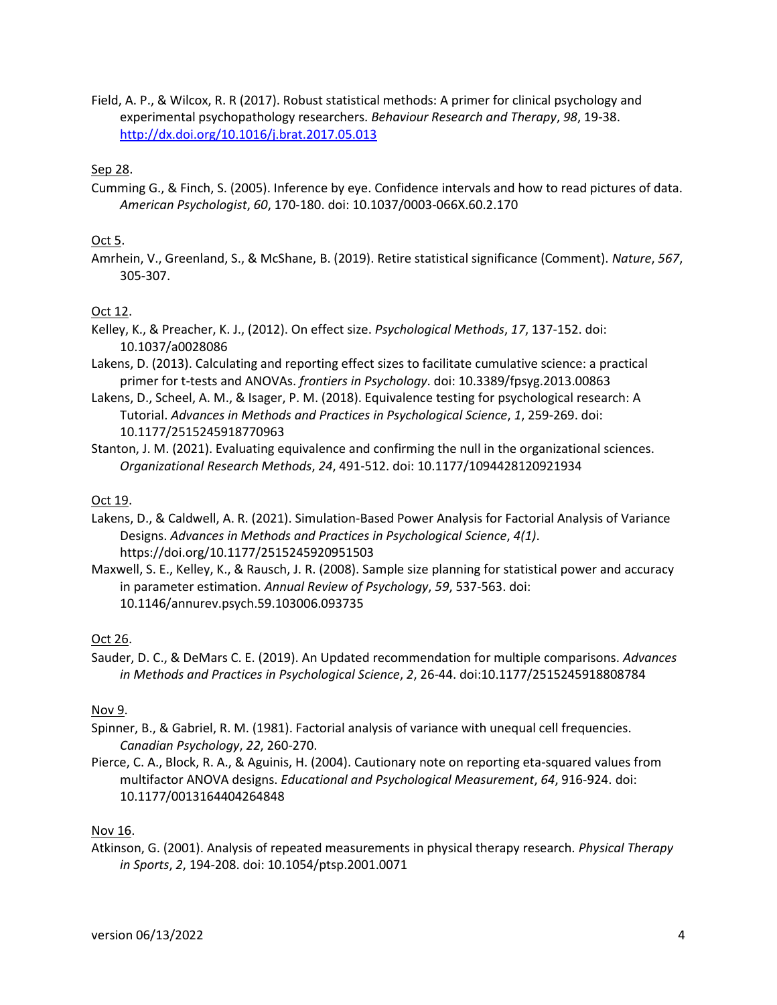Field, A. P., & Wilcox, R. R (2017). Robust statistical methods: A primer for clinical psychology and experimental psychopathology researchers. *Behaviour Research and Therapy*, *98*, 19-38. <http://dx.doi.org/10.1016/j.brat.2017.05.013>

#### Sep 28.

Cumming G., & Finch, S. (2005). Inference by eye. Confidence intervals and how to read pictures of data. *American Psychologist*, *60*, 170-180. doi: 10.1037/0003-066X.60.2.170

#### Oct 5.

Amrhein, V., Greenland, S., & McShane, B. (2019). Retire statistical significance (Comment). *Nature*, *567*, 305-307.

#### Oct 12.

- Kelley, K., & Preacher, K. J., (2012). On effect size. *Psychological Methods*, *17*, 137-152. doi: 10.1037/a0028086
- Lakens, D. (2013). Calculating and reporting effect sizes to facilitate cumulative science: a practical primer for t-tests and ANOVAs. *frontiers in Psychology*. doi: 10.3389/fpsyg.2013.00863
- Lakens, D., Scheel, A. M., & Isager, P. M. (2018). Equivalence testing for psychological research: A Tutorial. *Advances in Methods and Practices in Psychological Science*, *1*, 259-269. doi: 10.1177/2515245918770963
- Stanton, J. M. (2021). Evaluating equivalence and confirming the null in the organizational sciences. *Organizational Research Methods*, *24*, 491-512. doi: 10.1177/1094428120921934

#### Oct 19.

- Lakens, D., & Caldwell, A. R. (2021). Simulation-Based Power Analysis for Factorial Analysis of Variance Designs. *Advances in Methods and Practices in Psychological Science*, *4(1)*. https://doi.org/10.1177/2515245920951503
- Maxwell, S. E., Kelley, K., & Rausch, J. R. (2008). Sample size planning for statistical power and accuracy in parameter estimation. *Annual Review of Psychology*, *59*, 537-563. doi: 10.1146/annurev.psych.59.103006.093735

#### Oct 26.

Sauder, D. C., & DeMars C. E. (2019). An Updated recommendation for multiple comparisons. *Advances in Methods and Practices in Psychological Science*, *2*, 26-44. doi:10.1177/2515245918808784

#### Nov 9.

- Spinner, B., & Gabriel, R. M. (1981). Factorial analysis of variance with unequal cell frequencies. *Canadian Psychology*, *22*, 260-270.
- Pierce, C. A., Block, R. A., & Aguinis, H. (2004). Cautionary note on reporting eta-squared values from multifactor ANOVA designs. *Educational and Psychological Measurement*, *64*, 916-924. doi: 10.1177/0013164404264848

#### Nov 16.

Atkinson, G. (2001). Analysis of repeated measurements in physical therapy research. *Physical Therapy in Sports*, *2*, 194-208. doi: 10.1054/ptsp.2001.0071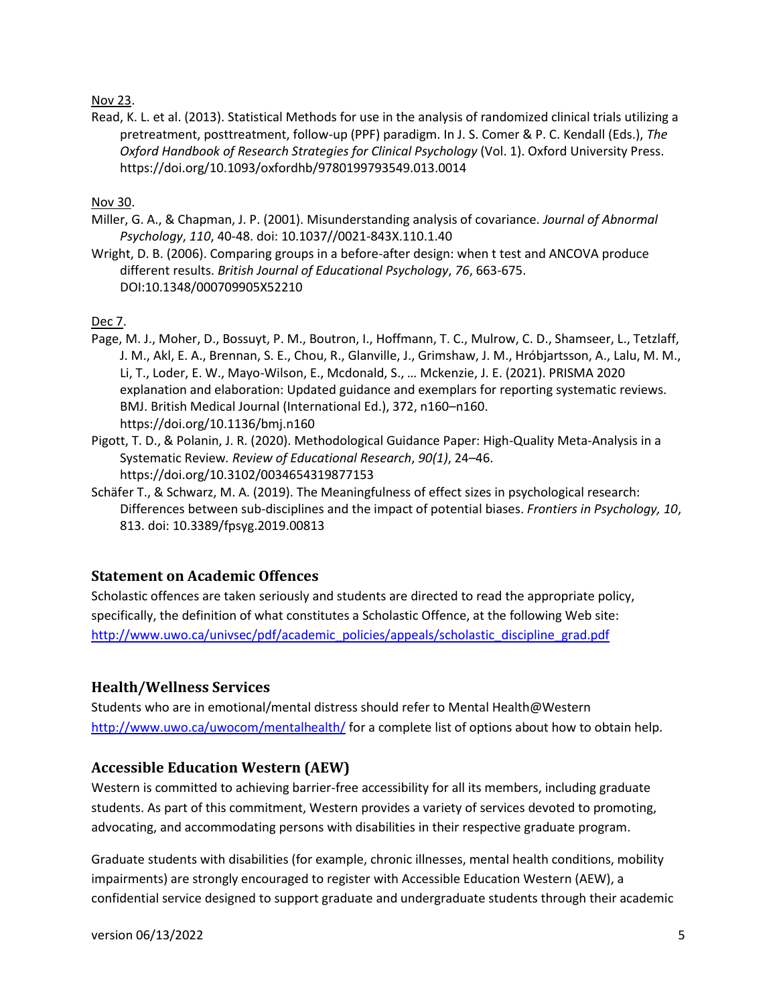#### Nov 23.

Read, K. L. et al. (2013). Statistical Methods for use in the analysis of randomized clinical trials utilizing a pretreatment, posttreatment, follow-up (PPF) paradigm. In J. S. Comer & P. C. Kendall (Eds.), *The Oxford Handbook of Research Strategies for Clinical Psychology* (Vol. 1). Oxford University Press. https://doi.org/10.1093/oxfordhb/9780199793549.013.0014

Nov 30.

- Miller, G. A., & Chapman, J. P. (2001). Misunderstanding analysis of covariance. *Journal of Abnormal Psychology*, *110*, 40-48. doi: 10.1037//0021-843X.110.1.40
- Wright, D. B. (2006). Comparing groups in a before-after design: when t test and ANCOVA produce different results. *British Journal of Educational Psychology*, *76*, 663-675. DOI:10.1348/000709905X52210

#### Dec 7.

- Page, M. J., Moher, D., Bossuyt, P. M., Boutron, I., Hoffmann, T. C., Mulrow, C. D., Shamseer, L., Tetzlaff, J. M., Akl, E. A., Brennan, S. E., Chou, R., Glanville, J., Grimshaw, J. M., Hróbjartsson, A., Lalu, M. M., Li, T., Loder, E. W., Mayo-Wilson, E., Mcdonald, S., … Mckenzie, J. E. (2021). PRISMA 2020 explanation and elaboration: Updated guidance and exemplars for reporting systematic reviews. BMJ. British Medical Journal (International Ed.), 372, n160–n160. <https://doi.org/10.1136/bmj.n160>
- Pigott, T. D., & Polanin, J. R. (2020). Methodological Guidance Paper: High-Quality Meta-Analysis in a Systematic Review*. Review of Educational Research*, *90(1)*, 24–46. https://doi.org/10.3102/0034654319877153
- Schäfer T., & Schwarz, M. A. (2019). The Meaningfulness of effect sizes in psychological research: Differences between sub-disciplines and the impact of potential biases. *Frontiers in Psychology, 10*, 813. doi: 10.3389/fpsyg.2019.00813

# **Statement on Academic Offences**

Scholastic offences are taken seriously and students are directed to read the appropriate policy, specifically, the definition of what constitutes a Scholastic Offence, at the following Web site: [http://www.uwo.ca/univsec/pdf/academic\\_policies/appeals/scholastic\\_discipline\\_grad.pdf](http://www.uwo.ca/univsec/pdf/academic_policies/appeals/scholastic_discipline_grad.pdf)

# **Health/Wellness Services**

Students who are in emotional/mental distress should refer to Mental Health@Western <http://www.uwo.ca/uwocom/mentalhealth/> for a complete list of options about how to obtain help.

# **Accessible Education Western (AEW)**

Western is committed to achieving barrier-free accessibility for all its members, including graduate students. As part of this commitment, Western provides a variety of services devoted to promoting, advocating, and accommodating persons with disabilities in their respective graduate program.

Graduate students with disabilities (for example, chronic illnesses, mental health conditions, mobility impairments) are strongly encouraged to register with Accessible Education Western (AEW), a confidential service designed to support graduate and undergraduate students through their academic